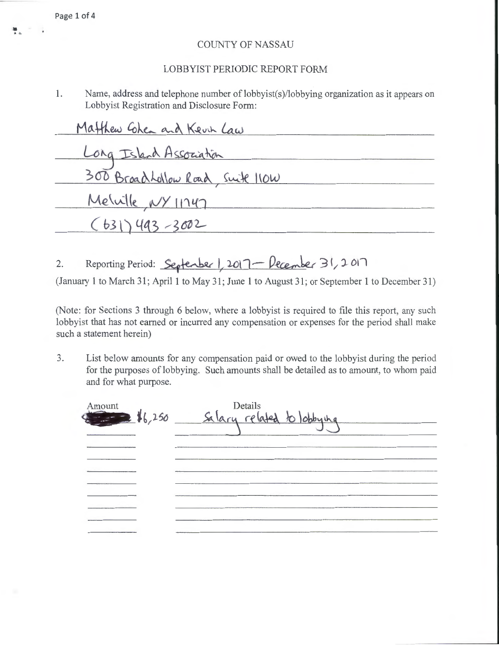## COUNTY OF NASSAU

## LOBBYIST PERlODIC REPORT FORM

1. Name, address and telephone number of lobbyist(s)/lobbying organization as it appears on Lobbyist Registration and Disclosure Form:

| Matthew Cohen and Kevin Law      |  |
|----------------------------------|--|
| Long Island Association          |  |
| 300 BroadLollow Road, Swite 110W |  |
| Mewile NY 11747                  |  |
| $(631)493 - 3002$                |  |

2. Reporting Period: <u>Septenber 1, 2017 - December</u> 31, 2017

(January 1 to March 31; April 1 to May 31; June 1 to August 31; or September 1 to December 31)

(Note: for Sections 3 through 6 below, where a lobbyist is required to file this report, any such lobbyist that has not earned or incurred any compensation or expenses for the period shall make such a statement herein)

3. List below amounts for any compensation paid or owed to the lobbyist during the period for the purposes of lobbying. Such amounts shall be detailed as to amount, to whom paid and for what purpose.

| Amount<br>$\bigcirc$ $\bigcirc$ $\bigcirc$ $\bigcirc$ $\bigcirc$ $\bigcirc$ $\bigcirc$ $\bigcirc$ $\bigcirc$ $\bigcirc$ $\bigcirc$ $\bigcirc$ $\bigcirc$ $\bigcirc$ $\bigcirc$ $\bigcirc$ $\bigcirc$ $\bigcirc$ $\bigcirc$ $\bigcirc$ $\bigcirc$ $\bigcirc$ $\bigcirc$ $\bigcirc$ $\bigcirc$ $\bigcirc$ $\bigcirc$ $\bigcirc$ $\bigcirc$ $\bigcirc$ $\bigcirc$ $\bigcirc$ $\bigcirc$ $\bigcirc$ $\bigcirc$ $\bigcirc$ $\bigcirc$ | Details<br>Salary related to lookying |  |
|----------------------------------------------------------------------------------------------------------------------------------------------------------------------------------------------------------------------------------------------------------------------------------------------------------------------------------------------------------------------------------------------------------------------------------|---------------------------------------|--|
|                                                                                                                                                                                                                                                                                                                                                                                                                                  |                                       |  |
|                                                                                                                                                                                                                                                                                                                                                                                                                                  |                                       |  |
|                                                                                                                                                                                                                                                                                                                                                                                                                                  |                                       |  |
|                                                                                                                                                                                                                                                                                                                                                                                                                                  |                                       |  |
| <b>Company's Constitution Constitution</b>                                                                                                                                                                                                                                                                                                                                                                                       |                                       |  |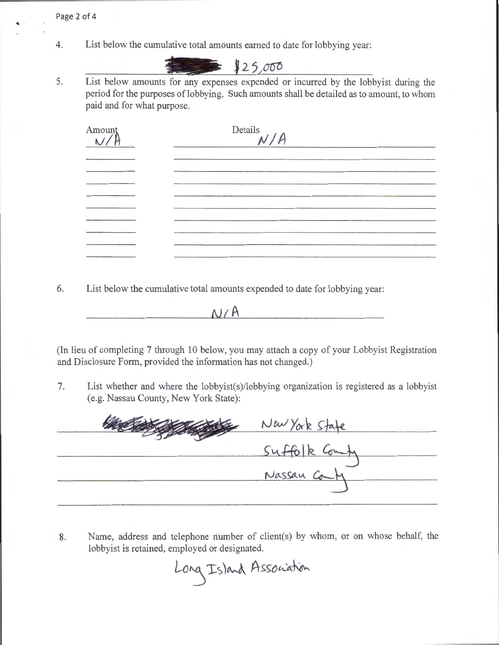Page 2 of 4

4. List below the cumulative total amounts earned to date for lobbying year:



5. List below amounts for any expenses expended or incurred by the lobbyist during the period for the purposes of lobbying. Such amounts shall be detailed as to amount, to whom paid and for what purpose.

| Amount | Details $N/A$ |  |  |  |
|--------|---------------|--|--|--|
|        |               |  |  |  |
|        |               |  |  |  |
|        |               |  |  |  |
|        |               |  |  |  |
|        |               |  |  |  |
|        |               |  |  |  |

6. List below the cumulative total amounts expended to date for lobbying year:

 $N/A$ 

(In lieu of completing 7 through 10 below, you may attach a copy of your Lobbyist Registration and Disclosure Form, provided the information has not changed.)

7. List whether and where the lobbyist(s)/lobbying organization is registered as a lobbyist (e.g. Nassau County, New York State):

New York State<br>Suffolk Comby<br>Nassau Comby

8. Name, address and telephone number of client(s) by whom, or on whose behalf, the lobbyist is retained, employed or designated.

Long Island Association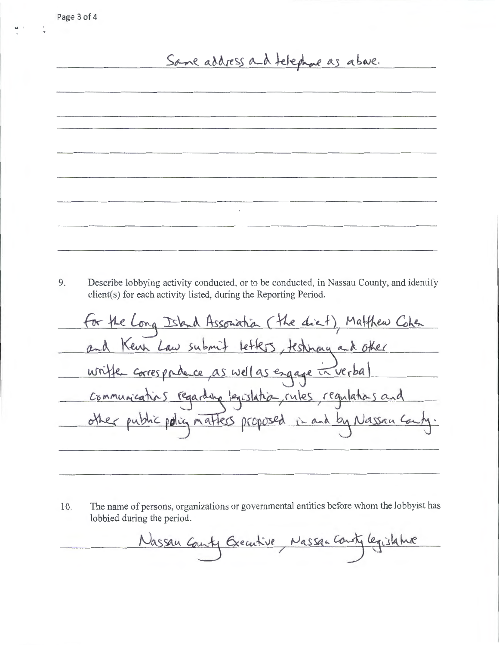$\bullet$   $^{-1}$ 

## Same address and telephone as above.

9. Describe lobbying activity conducted, or to be conducted, in Nassau County, and identify client(s) for each activity listed, during the Reporting Period.

 $\ddot{\phantom{a}}$ 

for the Long Island Association (the diet), Matthew Cohen and Kenn Law submit letters, testimony and other writte correspondence as well as engage in verbal communications regarding legislation, rules regulations and other public policy matters proposed in and by Nassau Can

10. The name of persons, organizations or governmental entities before whom the lobbyist has lobbied during the period.

Nassau County Greentive, Nassan County legislature